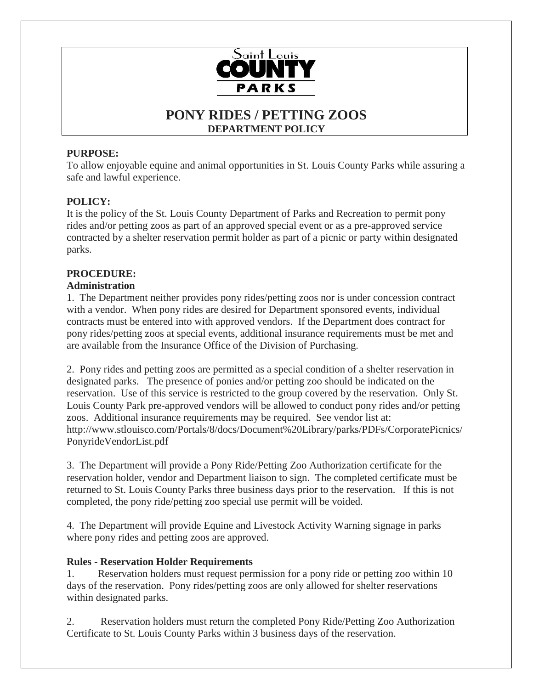

# **PONY RIDES / PETTING ZOOS DEPARTMENT POLICY**

# **PURPOSE:**

To allow enjoyable equine and animal opportunities in St. Louis County Parks while assuring a safe and lawful experience.

# **POLICY:**

It is the policy of the St. Louis County Department of Parks and Recreation to permit pony rides and/or petting zoos as part of an approved special event or as a pre-approved service contracted by a shelter reservation permit holder as part of a picnic or party within designated parks.

# **PROCEDURE:**

### **Administration**

1. The Department neither provides pony rides/petting zoos nor is under concession contract with a vendor. When pony rides are desired for Department sponsored events, individual contracts must be entered into with approved vendors. If the Department does contract for pony rides/petting zoos at special events, additional insurance requirements must be met and are available from the Insurance Office of the Division of Purchasing.

2. Pony rides and petting zoos are permitted as a special condition of a shelter reservation in designated parks. The presence of ponies and/or petting zoo should be indicated on the reservation. Use of this service is restricted to the group covered by the reservation. Only St. Louis County Park pre-approved vendors will be allowed to conduct pony rides and/or petting zoos. Additional insurance requirements may be required. See vendor list at: http://www.stlouisco.com/Portals/8/docs/Document%20Library/parks/PDFs/CorporatePicnics/ PonyrideVendorList.pdf

3. The Department will provide a Pony Ride/Petting Zoo Authorization certificate for the reservation holder, vendor and Department liaison to sign. The completed certificate must be returned to St. Louis County Parks three business days prior to the reservation. If this is not completed, the pony ride/petting zoo special use permit will be voided.

4. The Department will provide Equine and Livestock Activity Warning signage in parks where pony rides and petting zoos are approved.

### **Rules - Reservation Holder Requirements**

1. Reservation holders must request permission for a pony ride or petting zoo within 10 days of the reservation. Pony rides/petting zoos are only allowed for shelter reservations within designated parks.

2. Reservation holders must return the completed Pony Ride/Petting Zoo Authorization Certificate to St. Louis County Parks within 3 business days of the reservation.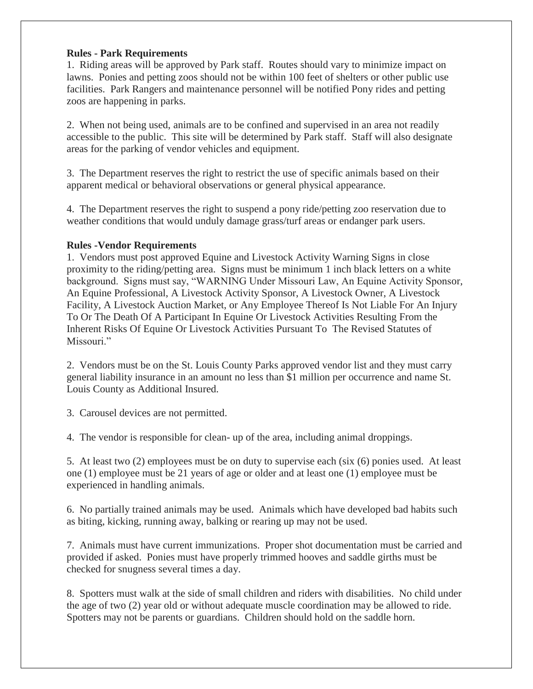#### **Rules - Park Requirements**

1. Riding areas will be approved by Park staff. Routes should vary to minimize impact on lawns. Ponies and petting zoos should not be within 100 feet of shelters or other public use facilities. Park Rangers and maintenance personnel will be notified Pony rides and petting zoos are happening in parks.

2. When not being used, animals are to be confined and supervised in an area not readily accessible to the public. This site will be determined by Park staff. Staff will also designate areas for the parking of vendor vehicles and equipment.

3. The Department reserves the right to restrict the use of specific animals based on their apparent medical or behavioral observations or general physical appearance.

4. The Department reserves the right to suspend a pony ride/petting zoo reservation due to weather conditions that would unduly damage grass/turf areas or endanger park users.

#### **Rules -Vendor Requirements**

1. Vendors must post approved Equine and Livestock Activity Warning Signs in close proximity to the riding/petting area. Signs must be minimum 1 inch black letters on a white background. Signs must say, "WARNING Under Missouri Law, An Equine Activity Sponsor, An Equine Professional, A Livestock Activity Sponsor, A Livestock Owner, A Livestock Facility, A Livestock Auction Market, or Any Employee Thereof Is Not Liable For An Injury To Or The Death Of A Participant In Equine Or Livestock Activities Resulting From the Inherent Risks Of Equine Or Livestock Activities Pursuant To The Revised Statutes of Missouri."

2. Vendors must be on the St. Louis County Parks approved vendor list and they must carry general liability insurance in an amount no less than \$1 million per occurrence and name St. Louis County as Additional Insured.

3. Carousel devices are not permitted.

4. The vendor is responsible for clean- up of the area, including animal droppings.

5. At least two (2) employees must be on duty to supervise each (six (6) ponies used. At least one (1) employee must be 21 years of age or older and at least one (1) employee must be experienced in handling animals.

6. No partially trained animals may be used. Animals which have developed bad habits such as biting, kicking, running away, balking or rearing up may not be used.

7. Animals must have current immunizations. Proper shot documentation must be carried and provided if asked. Ponies must have properly trimmed hooves and saddle girths must be checked for snugness several times a day.

8. Spotters must walk at the side of small children and riders with disabilities. No child under the age of two (2) year old or without adequate muscle coordination may be allowed to ride. Spotters may not be parents or guardians. Children should hold on the saddle horn.